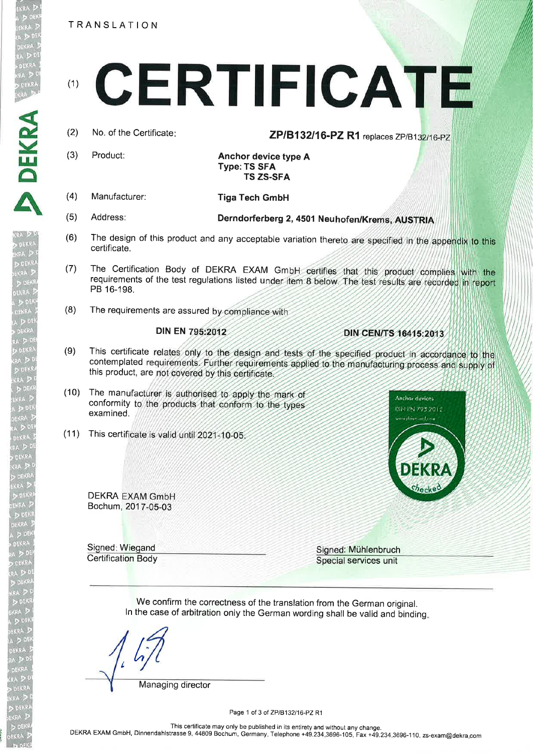TRANSLATION

- $(2)$ No. of the Certificate:
- $(3)$ Product:

DEKRA

EKRA  $\geq 0$  Anchor device type A **Type: TS SFA TS ZS-SFA** 

 $(4)$ Manufacturer:

**Tiga Tech GmbH** 

- $(5)$ Address:
- $(6)$ The design of this product and any acceptable variation thereto are specified in the appendix to this certificate.

Derndorferberg 2, 4501 Neuhofen/Krems, AUSTRIA

- $(7)$ The Certification Body of DEKRA EXAM GmbH certifies that this product complies with the requirements of the test regulations listed under item 8 below. The test results are recorded in report PB 16-198.
- The requirements are assured by compliance with  $(8)$

## **DIN EN 795:2012**

DIN CEN/TS 16415:2013

Anchor devices

DIN EN 795 2012

ww.dokic.unl.com

ZP/B132/16-PZ R1 replaces ZP/B132/16-PZ

- $(9)$ This certificate relates only to the design and tests of the specified product in accordance to the contemplated requirements. Further requirements applied to the manufacturing process and supply of this product, are not covered by this certificate.
- $(10)$ The manufacturer is authorised to apply the mark of conformity to the products that conform to the types examined.
- (11) This certificate is valid until 2021-10-05

**DEKRA EXAM GmbH** Bochum, 2017-05-03

Signed: Wiegand **Certification Body**  Signed: Mühlenbruch Special services unit

We confirm the correctness of the translation from the German original. In the case of arbitration only the German wording shall be valid and binding.

Managing director

Page 1 of 3 of ZP/B132/16-PZ R1

This certificate may only be published in its entirety and without any change. DEKRA EXAM GmbH, Dinnendahlstrasse 9, 44809 Bochum, Germany. Telephone +49.234.3696-105, Fax +49.234.3696-110, zs-exam@dekra.com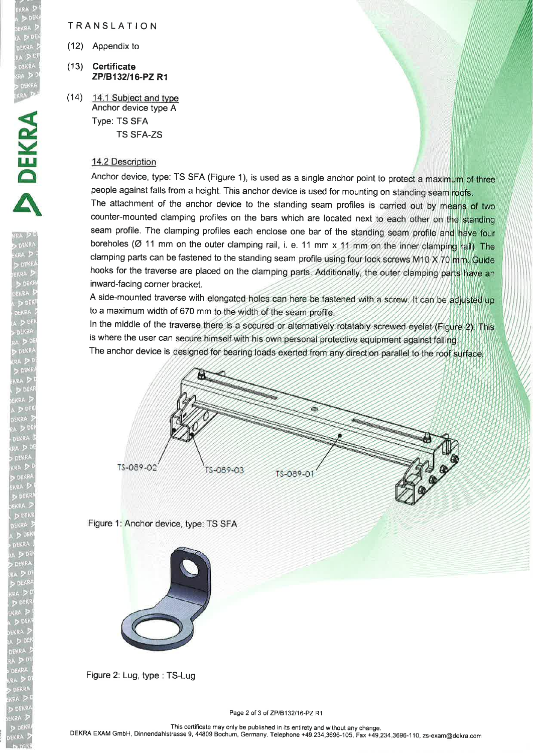## TRANSLATION

(12) Appendix to

ERRA<br>DIDEKRA<br>EKRA DIP

**DEKR** 

 $\bar{\mathbf{A}}$ 

- (13) Certificate ZP/B132/16-PZ R1
- (14) 14.1 Subiect and tvpe Anchor device type A Type: TS SFA TS SFA-ZS

## 14.2 Description

Anchor device, type: TS SFA (Figure 1), is used as a single anchor point to protect a maximum of three people against falls from a height. This anchor device is used for mounting on standing seam roofs. The attachment of the anchor device to the standing seam profiles is carried out by means of two counter-mounted clamping profiles on the bars which are located next to each other on the standing seam profile. The clamping profiles each enclose one bar of the standing seam profile and have four boreholes ( $\varnothing$  11 mm on the outer clamping rail, i. e. 11 mm x 11 mm on the inner clamping rail). The clamping parts can be fastened to the standing seam profile using four lock screws M10 X 70 mm. Guide hooks for the traverse are placed on the clamping parts. Additionally, the outer clamping parts have an inward-facing corner bracket.

A side-mounted traverse with elongated holes can here be fastened with a screw. It can be adjusted up to a maximum width of 670 mm to the width of the seam profile.

In the middle of the traverse there is a secured or alternatively rotatably screwed eyelet (Figure 2). This is where the user can secure himself with his own personal protective equipment against falling The anchor device is designed for bearing loads exerted from any direction parallel to the roof surface.



Figure 1: Anchor device, type: TS SFA



Figure 2: Lug, type : TS-Lug